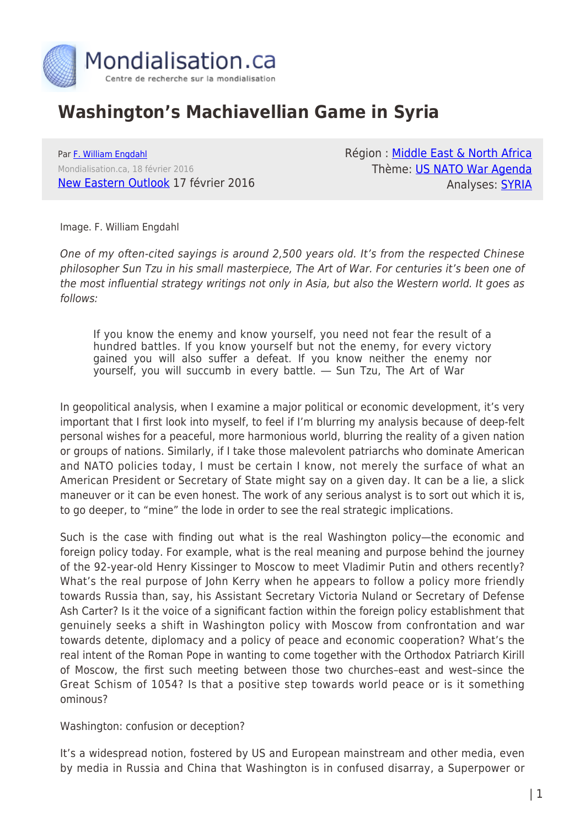

## **Washington's Machiavellian Game in Syria**

Par [F. William Engdahl](https://www.mondialisation.ca/author/f-william-engdahl) Mondialisation.ca, 18 février 2016 [New Eastern Outlook](http://journal-neo.org/2016/02/17/washington-s-machiavellian-game-in-syria/) 17 février 2016 Région : [Middle East & North Africa](https://www.mondialisation.ca/region/middle-east) Thème: [US NATO War Agenda](https://www.mondialisation.ca/theme/us-nato-war-agenda) Analyses: [SYRIA](https://www.mondialisation.ca/indepthreport/syria-nato-s-next-war)

Image. F. William Engdahl

One of my often-cited sayings is around 2,500 years old. It's from the respected Chinese philosopher Sun Tzu in his small masterpiece, The Art of War. For centuries it's been one of the most influential strategy writings not only in Asia, but also the Western world. It goes as follows:

If you know the enemy and know yourself, you need not fear the result of a hundred battles. If you know yourself but not the enemy, for every victory gained you will also suffer a defeat. If you know neither the enemy nor yourself, you will succumb in every battle. ― Sun Tzu, The Art of War

In geopolitical analysis, when I examine a major political or economic development, it's very important that I first look into myself, to feel if I'm blurring my analysis because of deep-felt personal wishes for a peaceful, more harmonious world, blurring the reality of a given nation or groups of nations. Similarly, if I take those malevolent patriarchs who dominate American and NATO policies today, I must be certain I know, not merely the surface of what an American President or Secretary of State might say on a given day. It can be a lie, a slick maneuver or it can be even honest. The work of any serious analyst is to sort out which it is, to go deeper, to "mine" the lode in order to see the real strategic implications.

Such is the case with finding out what is the real Washington policy—the economic and foreign policy today. For example, what is the real meaning and purpose behind the journey of the 92-year-old Henry Kissinger to Moscow to meet Vladimir Putin and others recently? What's the real purpose of John Kerry when he appears to follow a policy more friendly towards Russia than, say, his Assistant Secretary Victoria Nuland or Secretary of Defense Ash Carter? Is it the voice of a significant faction within the foreign policy establishment that genuinely seeks a shift in Washington policy with Moscow from confrontation and war towards detente, diplomacy and a policy of peace and economic cooperation? What's the real intent of the Roman Pope in wanting to come together with the Orthodox Patriarch Kirill of Moscow, the first such meeting between those two churches–east and west–since the Great Schism of 1054? Is that a positive step towards world peace or is it something ominous?

Washington: confusion or deception?

It's a widespread notion, fostered by US and European mainstream and other media, even by media in Russia and China that Washington is in confused disarray, a Superpower or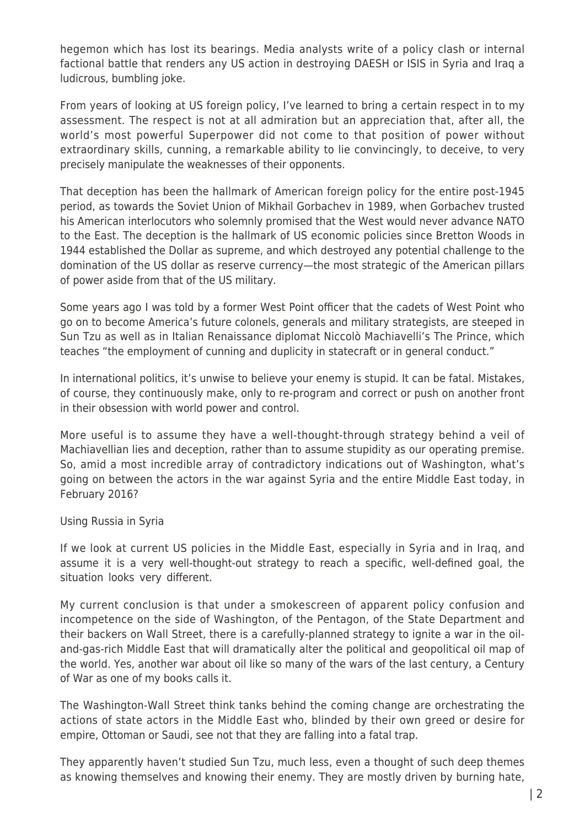hegemon which has lost its bearings. Media analysts write of a policy clash or internal factional battle that renders any US action in destroying DAESH or ISIS in Syria and Iraq a ludicrous, bumbling joke.

From years of looking at US foreign policy, I've learned to bring a certain respect in to my assessment. The respect is not at all admiration but an appreciation that, after all, the world's most powerful Superpower did not come to that position of power without extraordinary skills, cunning, a remarkable ability to lie convincingly, to deceive, to very precisely manipulate the weaknesses of their opponents.

That deception has been the hallmark of American foreign policy for the entire post-1945 period, as towards the Soviet Union of Mikhail Gorbachev in 1989, when Gorbachev trusted his American interlocutors who solemnly promised that the West would never advance NATO to the East. The deception is the hallmark of US economic policies since Bretton Woods in 1944 established the Dollar as supreme, and which destroyed any potential challenge to the domination of the US dollar as reserve currency—the most strategic of the American pillars of power aside from that of the US military.

Some years ago I was told by a former West Point officer that the cadets of West Point who go on to become America's future colonels, generals and military strategists, are steeped in Sun Tzu as well as in Italian Renaissance diplomat Niccolò Machiavelli's The Prince, which teaches "the employment of cunning and duplicity in statecraft or in general conduct."

In international politics, it's unwise to believe your enemy is stupid. It can be fatal. Mistakes, of course, they continuously make, only to re-program and correct or push on another front in their obsession with world power and control.

More useful is to assume they have a well-thought-through strategy behind a veil of Machiavellian lies and deception, rather than to assume stupidity as our operating premise. So, amid a most incredible array of contradictory indications out of Washington, what's going on between the actors in the war against Syria and the entire Middle East today, in February 2016?

Using Russia in Syria

If we look at current US policies in the Middle East, especially in Syria and in Iraq, and assume it is a very well-thought-out strategy to reach a specific, well-defined goal, the situation looks very different.

My current conclusion is that under a smokescreen of apparent policy confusion and incompetence on the side of Washington, of the Pentagon, of the State Department and their backers on Wall Street, there is a carefully-planned strategy to ignite a war in the oiland-gas-rich Middle East that will dramatically alter the political and geopolitical oil map of the world. Yes, another war about oil like so many of the wars of the last century, a Century of War as one of my books calls it.

The Washington-Wall Street think tanks behind the coming change are orchestrating the actions of state actors in the Middle East who, blinded by their own greed or desire for empire, Ottoman or Saudi, see not that they are falling into a fatal trap.

They apparently haven't studied Sun Tzu, much less, even a thought of such deep themes as knowing themselves and knowing their enemy. They are mostly driven by burning hate,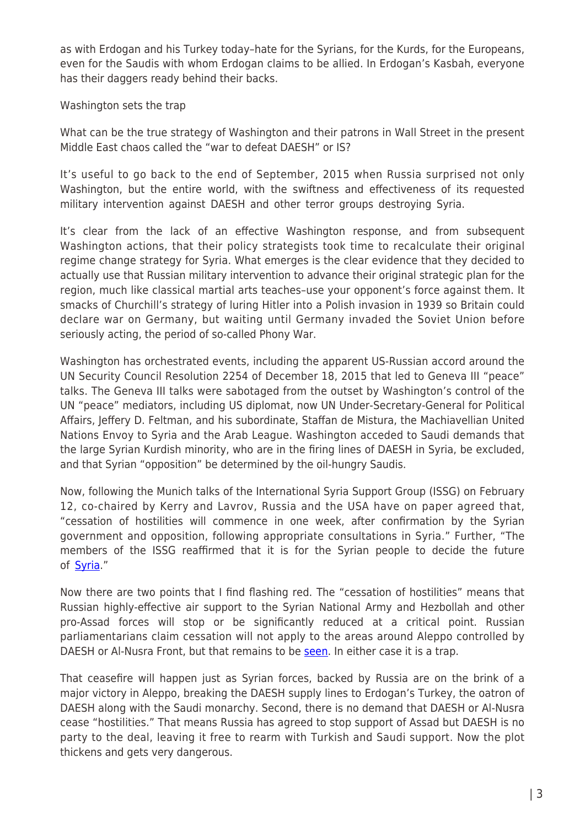as with Erdogan and his Turkey today–hate for the Syrians, for the Kurds, for the Europeans, even for the Saudis with whom Erdogan claims to be allied. In Erdogan's Kasbah, everyone has their daggers ready behind their backs.

Washington sets the trap

What can be the true strategy of Washington and their patrons in Wall Street in the present Middle East chaos called the "war to defeat DAESH" or IS?

It's useful to go back to the end of September, 2015 when Russia surprised not only Washington, but the entire world, with the swiftness and effectiveness of its requested military intervention against DAESH and other terror groups destroying Syria.

It's clear from the lack of an effective Washington response, and from subsequent Washington actions, that their policy strategists took time to recalculate their original regime change strategy for Syria. What emerges is the clear evidence that they decided to actually use that Russian military intervention to advance their original strategic plan for the region, much like classical martial arts teaches–use your opponent's force against them. It smacks of Churchill's strategy of luring Hitler into a Polish invasion in 1939 so Britain could declare war on Germany, but waiting until Germany invaded the Soviet Union before seriously acting, the period of so-called Phony War.

Washington has orchestrated events, including the apparent US-Russian accord around the UN Security Council Resolution 2254 of December 18, 2015 that led to Geneva III "peace" talks. The Geneva III talks were sabotaged from the outset by Washington's control of the UN "peace" mediators, including US diplomat, now UN Under-Secretary-General for Political Affairs, Jeffery D. Feltman, and his subordinate, Staffan de Mistura, the Machiavellian United Nations Envoy to Syria and the Arab League. Washington acceded to Saudi demands that the large Syrian Kurdish minority, who are in the firing lines of DAESH in Syria, be excluded, and that Syrian "opposition" be determined by the oil-hungry Saudis.

Now, following the Munich talks of the International Syria Support Group (ISSG) on February 12, co-chaired by Kerry and Lavrov, Russia and the USA have on paper agreed that, "cessation of hostilities will commence in one week, after confirmation by the Syrian government and opposition, following appropriate consultations in Syria." Further, "The members of the ISSG reaffirmed that it is for the Syrian people to decide the future of [Syria.](http://www.state.gov/r/pa/prs/ps/2016/02/252428.html)"

Now there are two points that I find flashing red. The "cessation of hostilities" means that Russian highly-effective air support to the Syrian National Army and Hezbollah and other pro-Assad forces will stop or be significantly reduced at a critical point. Russian parliamentarians claim cessation will not apply to the areas around Aleppo controlled by DAESH or Al-Nusra Front, but that remains to be [seen.](http://tass.ru/en/politics/856244) In either case it is a trap.

That ceasefire will happen just as Syrian forces, backed by Russia are on the brink of a major victory in Aleppo, breaking the DAESH supply lines to Erdogan's Turkey, the oatron of DAESH along with the Saudi monarchy. Second, there is no demand that DAESH or Al-Nusra cease "hostilities." That means Russia has agreed to stop support of Assad but DAESH is no party to the deal, leaving it free to rearm with Turkish and Saudi support. Now the plot thickens and gets very dangerous.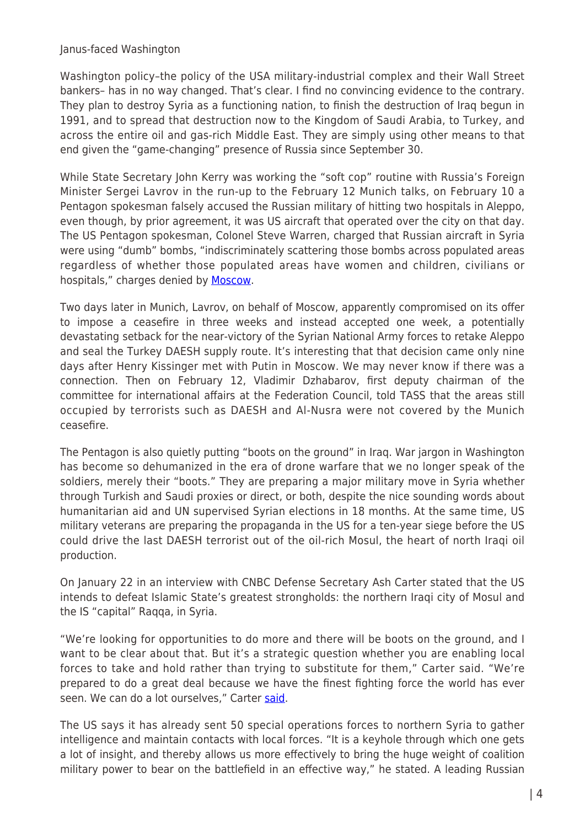Janus-faced Washington

Washington policy–the policy of the USA military-industrial complex and their Wall Street bankers– has in no way changed. That's clear. I find no convincing evidence to the contrary. They plan to destroy Syria as a functioning nation, to finish the destruction of Iraq begun in 1991, and to spread that destruction now to the Kingdom of Saudi Arabia, to Turkey, and across the entire oil and gas-rich Middle East. They are simply using other means to that end given the "game-changing" presence of Russia since September 30.

While State Secretary John Kerry was working the "soft cop" routine with Russia's Foreign Minister Sergei Lavrov in the run-up to the February 12 Munich talks, on February 10 a Pentagon spokesman falsely accused the Russian military of hitting two hospitals in Aleppo, even though, by prior agreement, it was US aircraft that operated over the city on that day. The US Pentagon spokesman, Colonel Steve Warren, charged that Russian aircraft in Syria were using "dumb" bombs, "indiscriminately scattering those bombs across populated areas regardless of whether those populated areas have women and children, civilians or hospitals," charges denied by **Moscow**.

Two days later in Munich, Lavrov, on behalf of Moscow, apparently compromised on its offer to impose a ceasefire in three weeks and instead accepted one week, a potentially devastating setback for the near-victory of the Syrian National Army forces to retake Aleppo and seal the Turkey DAESH supply route. It's interesting that that decision came only nine days after Henry Kissinger met with Putin in Moscow. We may never know if there was a connection. Then on February 12, Vladimir Dzhabarov, first deputy chairman of the committee for international affairs at the Federation Council, told TASS that the areas still occupied by terrorists such as DAESH and Al-Nusra were not covered by the Munich ceasefire.

The Pentagon is also quietly putting "boots on the ground" in Iraq. War jargon in Washington has become so dehumanized in the era of drone warfare that we no longer speak of the soldiers, merely their "boots." They are preparing a major military move in Syria whether through Turkish and Saudi proxies or direct, or both, despite the nice sounding words about humanitarian aid and UN supervised Syrian elections in 18 months. At the same time, US military veterans are preparing the propaganda in the US for a ten-year siege before the US could drive the last DAESH terrorist out of the oil-rich Mosul, the heart of north Iraqi oil production.

On January 22 in an interview with CNBC Defense Secretary Ash Carter stated that the US intends to defeat Islamic State's greatest strongholds: the northern Iraqi city of Mosul and the IS "capital" Raqqa, in Syria.

"We're looking for opportunities to do more and there will be boots on the ground, and I want to be clear about that. But it's a strategic question whether you are enabling local forces to take and hold rather than trying to substitute for them," Carter said. "We're prepared to do a great deal because we have the finest fighting force the world has ever seen. We can do a lot ourselves," Carter [said](https://www.rt.com/news/330019-us-troops-syria-pushkov/).

The US says it has already sent 50 special operations forces to northern Syria to gather intelligence and maintain contacts with local forces. "It is a keyhole through which one gets a lot of insight, and thereby allows us more effectively to bring the huge weight of coalition military power to bear on the battlefield in an effective way," he stated. A leading Russian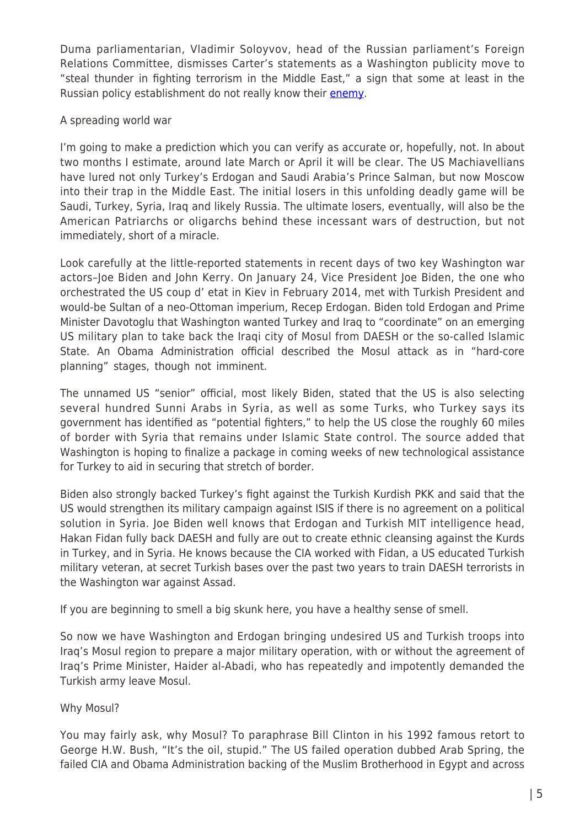Duma parliamentarian, Vladimir Soloyvov, head of the Russian parliament's Foreign Relations Committee, dismisses Carter's statements as a Washington publicity move to "steal thunder in fighting terrorism in the Middle East," a sign that some at least in the Russian policy establishment do not really know their [enemy.](https://www.rt.com/news/330019-us-troops-syria-pushkov/)

## A spreading world war

I'm going to make a prediction which you can verify as accurate or, hopefully, not. In about two months I estimate, around late March or April it will be clear. The US Machiavellians have lured not only Turkey's Erdogan and Saudi Arabia's Prince Salman, but now Moscow into their trap in the Middle East. The initial losers in this unfolding deadly game will be Saudi, Turkey, Syria, Iraq and likely Russia. The ultimate losers, eventually, will also be the American Patriarchs or oligarchs behind these incessant wars of destruction, but not immediately, short of a miracle.

Look carefully at the little-reported statements in recent days of two key Washington war actors–Joe Biden and John Kerry. On January 24, Vice President Joe Biden, the one who orchestrated the US coup d' etat in Kiev in February 2014, met with Turkish President and would-be Sultan of a neo-Ottoman imperium, Recep Erdogan. Biden told Erdogan and Prime Minister Davotoglu that Washington wanted Turkey and Iraq to "coordinate" on an emerging US military plan to take back the Iraqi city of Mosul from DAESH or the so-called Islamic State. An Obama Administration official described the Mosul attack as in "hard-core planning" stages, though not imminent.

The unnamed US "senior" official, most likely Biden, stated that the US is also selecting several hundred Sunni Arabs in Syria, as well as some Turks, who Turkey says its government has identified as "potential fighters," to help the US close the roughly 60 miles of border with Syria that remains under Islamic State control. The source added that Washington is hoping to finalize a package in coming weeks of new technological assistance for Turkey to aid in securing that stretch of border.

Biden also strongly backed Turkey's fight against the Turkish Kurdish PKK and said that the US would strengthen its military campaign against ISIS if there is no agreement on a political solution in Syria. Joe Biden well knows that Erdogan and Turkish MIT intelligence head, Hakan Fidan fully back DAESH and fully are out to create ethnic cleansing against the Kurds in Turkey, and in Syria. He knows because the CIA worked with Fidan, a US educated Turkish military veteran, at secret Turkish bases over the past two years to train DAESH terrorists in the Washington war against Assad.

If you are beginning to smell a big skunk here, you have a healthy sense of smell.

So now we have Washington and Erdogan bringing undesired US and Turkish troops into Iraq's Mosul region to prepare a major military operation, with or without the agreement of Iraq's Prime Minister, Haider al-Abadi, who has repeatedly and impotently demanded the Turkish army leave Mosul.

## Why Mosul?

You may fairly ask, why Mosul? To paraphrase Bill Clinton in his 1992 famous retort to George H.W. Bush, "It's the oil, stupid." The US failed operation dubbed Arab Spring, the failed CIA and Obama Administration backing of the Muslim Brotherhood in Egypt and across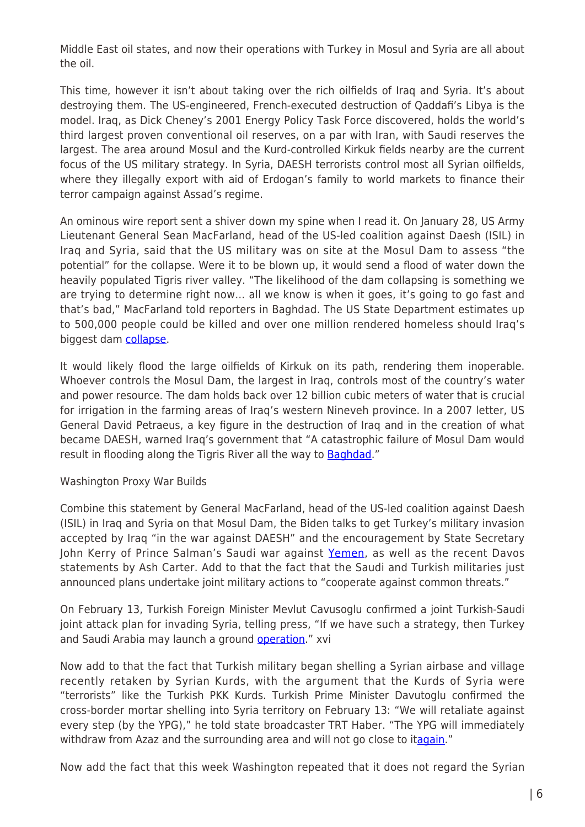Middle East oil states, and now their operations with Turkey in Mosul and Syria are all about the oil.

This time, however it isn't about taking over the rich oilfields of Iraq and Syria. It's about destroying them. The US-engineered, French-executed destruction of Qaddafi's Libya is the model. Iraq, as Dick Cheney's 2001 Energy Policy Task Force discovered, holds the world's third largest proven conventional oil reserves, on a par with Iran, with Saudi reserves the largest. The area around Mosul and the Kurd-controlled Kirkuk fields nearby are the current focus of the US military strategy. In Syria, DAESH terrorists control most all Syrian oilfields, where they illegally export with aid of Erdogan's family to world markets to finance their terror campaign against Assad's regime.

An ominous wire report sent a shiver down my spine when I read it. On January 28, US Army Lieutenant General Sean MacFarland, head of the US-led coalition against Daesh (ISIL) in Iraq and Syria, said that the US military was on site at the Mosul Dam to assess "the potential" for the collapse. Were it to be blown up, it would send a flood of water down the heavily populated Tigris river valley. "The likelihood of the dam collapsing is something we are trying to determine right now… all we know is when it goes, it's going to go fast and that's bad," MacFarland told reporters in Baghdad. The US State Department estimates up to 500,000 people could be killed and over one million rendered homeless should Iraq's biggest dam [collapse](http://presstv.ir/Detail/2016/01/28/447727/Mosul-Dam-Iraq-US-McFarland-Warren-ISIL/).

It would likely flood the large oilfields of Kirkuk on its path, rendering them inoperable. Whoever controls the Mosul Dam, the largest in Iraq, controls most of the country's water and power resource. The dam holds back over 12 billion cubic meters of water that is crucial for irrigation in the farming areas of Iraq's western Nineveh province. In a 2007 letter, US General David Petraeus, a key figure in the destruction of Iraq and in the creation of what became DAESH, warned Iraq's government that "A catastrophic failure of Mosul Dam would result in flooding along the Tigris River all the way to **Baghdad**."

## Washington Proxy War Builds

Combine this statement by General MacFarland, head of the US-led coalition against Daesh (ISIL) in Iraq and Syria on that Mosul Dam, the Biden talks to get Turkey's military invasion accepted by Iraq "in the war against DAESH" and the encouragement by State Secretary John Kerry of Prince Salman's Saudi war against [Yemen](http://sputniknews.com/us/20160125/1033695021/kerry-support-saudi-yemen-campaign.html#ixzz3z1gsJG42), as well as the recent Davos statements by Ash Carter. Add to that the fact that the Saudi and Turkish militaries just announced plans undertake joint military actions to "cooperate against common threats."

On February 13, Turkish Foreign Minister Mevlut Cavusoglu confirmed a joint Turkish-Saudi joint attack plan for invading Syria, telling press, "If we have such a strategy, then Turkey and Saudi Arabia may launch a ground [operation](http://russia-insider.com/en/politics/saudi-jets-deploy-turkey-joint-turkish-saudi-assault-syria-now-imminent/ri12828)." xvi

Now add to that the fact that Turkish military began shelling a Syrian airbase and village recently retaken by Syrian Kurds, with the argument that the Kurds of Syria were "terrorists" like the Turkish PKK Kurds. Turkish Prime Minister Davutoglu confirmed the cross-border mortar shelling into Syria territory on February 13: "We will retaliate against every step (by the YPG)," he told state broadcaster TRT Haber. "The YPG will immediately withdraw from Azaz and the surrounding area and will not go close to it[again.](http://journal-neo.org/www.aljazeera.com/news/2016/02/turkey-shells-kurdish-held-airbase-syria-aleppo-160213160929706.htm)"

Now add the fact that this week Washington repeated that it does not regard the Syrian